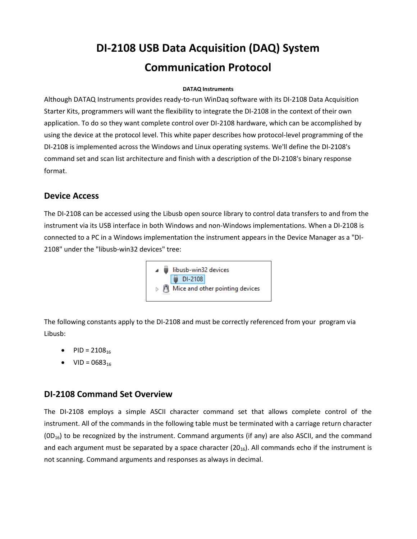# **DI-2108 USB Data Acquisition (DAQ) System Communication Protocol**

#### **[DATA](http://www.dataq.com/)Q Instruments**

Although DATAQ Instruments provides ready-to-run WinDaq software with its DI-2108 Data Acquisition Starter Kits, programmers will want the flexibility to integrate the DI-2108 in the context of their own application. To do so they want complete control over DI-2108 hardware, which can be accomplished by using the device at the protocol level. This white paper describes how protocol-level programming of the DI-2108 is implemented across the Windows and Linux operating systems. We'll define the DI-2108's command set and scan list architecture and finish with a description of the DI-2108's binary response format.

### **Device Access**

The DI-2108 can be accessed using the Libusb open source library to control data transfers to and from the instrument via its USB interface in both Windows and non-Windows implementations. When a DI-2108 is connected to a PC in a Windows implementation the instrument appears in the Device Manager as a "DI-2108" under the "libusb-win32 devices" tree:



The following constants apply to the DI-2108 and must be correctly referenced from your program via Libusb:

- PID =  $2108_{16}$
- $\bullet$  VID = 0683<sub>16</sub>

## **DI-2108 Command Set Overview**

The DI-2108 employs a simple ASCII character command set that allows complete control of the instrument. All of the commands in the following table must be terminated with a carriage return character  $(OD_{16})$  to be recognized by the instrument. Command arguments (if any) are also ASCII, and the command and each argument must be separated by a space character  $(20<sub>16</sub>)$ . All commands echo if the instrument is not scanning. Command arguments and responses as always in decimal.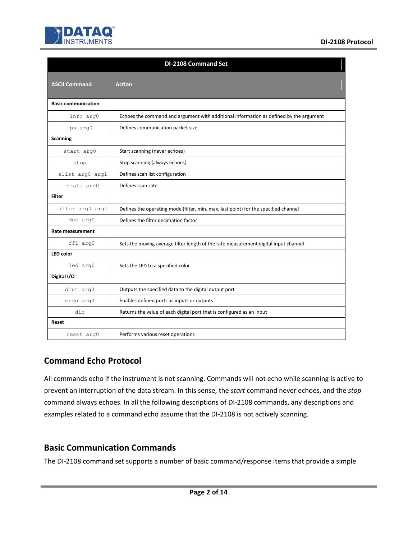

|                            | <b>DI-2108 Command Set</b>                                                             |
|----------------------------|----------------------------------------------------------------------------------------|
| <b>ASCII Command</b>       | <b>Action</b>                                                                          |
| <b>Basic communication</b> |                                                                                        |
| info arg0                  | Echoes the command and argument with additional information as defined by the argument |
| ps arg0                    | Defines communication packet size                                                      |
| <b>Scanning</b>            |                                                                                        |
| start arg0                 | Start scanning (never echoes)                                                          |
| stop                       | Stop scanning (always echoes)                                                          |
| slist arg0 arg1            | Defines scan list configuration                                                        |
| srate arg0                 | Defines scan rate                                                                      |
| <b>Filter</b>              |                                                                                        |
| filter arg0 arg1           | Defines the operating mode (filter, min, max, last point) for the specified channel    |
| dec arg0                   | Defines the filter decimation factor                                                   |
| <b>Rate measurement</b>    |                                                                                        |
| ffl arg0                   | Sets the moving average filter length of the rate measurement digital input channel    |
| <b>LED</b> color           |                                                                                        |
| led arg0                   | Sets the LED to a specified color                                                      |
| Digital I/O                |                                                                                        |
| dout arg0                  | Outputs the specified data to the digital output port                                  |
| endo arg0                  | Enables defined ports as inputs or outputs                                             |
| din                        | Returns the value of each digital port that is configured as an input                  |
| Reset                      |                                                                                        |
| reset arg0                 | Performs various reset operations                                                      |

# **Command Echo Protocol**

All commands echo if the instrument is not scanning. Commands will not echo while scanning is active to prevent an interruption of the data stream. In this sense, the *start* command never echoes, and the *stop* command always echoes. In all the following descriptions of DI-2108 commands, any descriptions and examples related to a command echo assume that the DI-2108 is not actively scanning.

## **Basic Communication Commands**

The DI-2108 command set supports a number of basic command/response items that provide a simple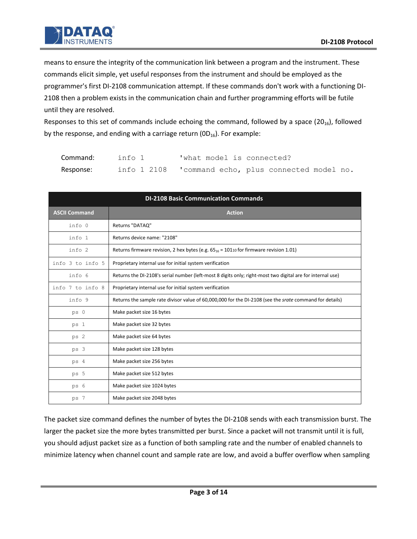means to ensure the integrity of the communication link between a program and the instrument. These commands elicit simple, yet useful responses from the instrument and should be employed as the programmer's first DI-2108 communication attempt. If these commands don't work with a functioning DI-2108 then a problem exists in the communication chain and further programming efforts will be futile until they are resolved.

Responses to this set of commands include echoing the command, followed by a space  $(20_{16})$ , followed by the response, and ending with a carriage return ( $OD_{16}$ ). For example:

| Command:  | info 1      | 'what model is connected?               |
|-----------|-------------|-----------------------------------------|
| Response: | info 1 2108 | 'command echo, plus connected model no. |

| <b>DI-2108 Basic Communication Commands</b> |                                                                                                                |  |  |  |  |
|---------------------------------------------|----------------------------------------------------------------------------------------------------------------|--|--|--|--|
| <b>ASCII Command</b>                        | <b>Action</b>                                                                                                  |  |  |  |  |
| info 0                                      | Returns "DATAQ"                                                                                                |  |  |  |  |
| info 1                                      | Returns device name: "2108"                                                                                    |  |  |  |  |
| info 2                                      | Returns firmware revision, 2 hex bytes (e.g. $65_{16}$ = 10110 for firmware revision 1.01)                     |  |  |  |  |
| info 3 to info 5                            | Proprietary internal use for initial system verification                                                       |  |  |  |  |
| info 6                                      | Returns the DI-2108's serial number (left-most 8 digits only; right-most two digital are for internal use)     |  |  |  |  |
| info 7 to info 8                            | Proprietary internal use for initial system verification                                                       |  |  |  |  |
| info 9                                      | Returns the sample rate divisor value of 60,000,000 for the DI-2108 (see the <i>srate</i> command for details) |  |  |  |  |
| $ps$ 0                                      | Make packet size 16 bytes                                                                                      |  |  |  |  |
| ps 1                                        | Make packet size 32 bytes                                                                                      |  |  |  |  |
| ps 2                                        | Make packet size 64 bytes                                                                                      |  |  |  |  |
| ps 3                                        | Make packet size 128 bytes                                                                                     |  |  |  |  |
| ps 4                                        | Make packet size 256 bytes                                                                                     |  |  |  |  |
| ps 5                                        | Make packet size 512 bytes                                                                                     |  |  |  |  |
| ps 6                                        | Make packet size 1024 bytes                                                                                    |  |  |  |  |
| ps 7                                        | Make packet size 2048 bytes                                                                                    |  |  |  |  |

The packet size command defines the number of bytes the DI-2108 sends with each transmission burst. The larger the packet size the more bytes transmitted per burst. Since a packet will not transmit until it is full, you should adjust packet size as a function of both sampling rate and the number of enabled channels to minimize latency when channel count and sample rate are low, and avoid a buffer overflow when sampling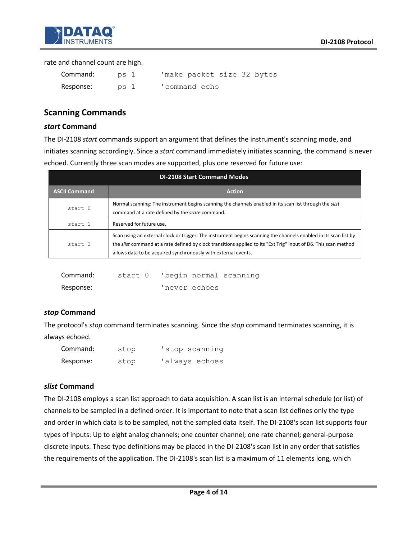

#### rate and channel count are high.

| Command:  | ps 1 | 'make packet size 32 bytes |
|-----------|------|----------------------------|
| Response: | ps 1 | 'command echo              |

# **Scanning Commands**

#### *start* **Command**

The DI-2108 *start* commands support an argument that defines the instrument's scanning mode, and initiates scanning accordingly. Since a *start* command immediately initiates scanning, the command is never echoed. Currently three scan modes are supported, plus one reserved for future use:

| <b>DI-2108 Start Command Modes</b> |                                                                                                                                                                                                                                                                                                        |  |  |  |
|------------------------------------|--------------------------------------------------------------------------------------------------------------------------------------------------------------------------------------------------------------------------------------------------------------------------------------------------------|--|--|--|
| <b>ASCII Command</b>               | <b>Action</b>                                                                                                                                                                                                                                                                                          |  |  |  |
| start 0                            | Normal scanning: The instrument begins scanning the channels enabled in its scan list through the slist<br>command at a rate defined by the srate command.                                                                                                                                             |  |  |  |
| start 1                            | Reserved for future use.                                                                                                                                                                                                                                                                               |  |  |  |
| start 2                            | Scan using an external clock or trigger: The instrument begins scanning the channels enabled in its scan list by<br>the slist command at a rate defined by clock transitions applied to its "Ext Trig" input of D6. This scan method<br>allows data to be acquired synchronously with external events. |  |  |  |

| Command:  |  |               | start 0 'begin normal scanning |
|-----------|--|---------------|--------------------------------|
| Response: |  | 'never echoes |                                |

### *stop* **Command**

The protocol's *stop* command terminates scanning. Since the *stop* command terminates scanning, it is always echoed.

| Command:  | stop | 'stop scanning |
|-----------|------|----------------|
| Response: | stop | 'always echoes |

### *slist* **Command**

The DI-2108 employs a scan list approach to data acquisition. A scan list is an internal schedule (or list) of channels to be sampled in a defined order. It is important to note that a scan list defines only the type and order in which data is to be sampled, not the sampled data itself. The DI-2108's scan list supports four types of inputs: Up to eight analog channels; one counter channel; one rate channel; general-purpose discrete inputs. These type definitions may be placed in the DI-2108's scan list in any order that satisfies the requirements of the application. The DI-2108's scan list is a maximum of 11 elements long, which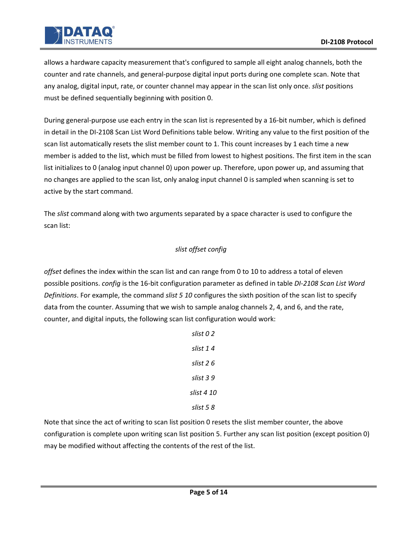

allows a hardware capacity measurement that's configured to sample all eight analog channels, both the counter and rate channels, and general-purpose digital input ports during one complete scan. Note that any analog, digital input, rate, or counter channel may appear in the scan list only once. *slist* positions must be defined sequentially beginning with position 0.

During general-purpose use each entry in the scan list is represented by a 16-bit number, which is defined in detail in the DI-2108 Scan List Word Definitions table below. Writing any value to the first position of the scan list automatically resets the slist member count to 1. This count increases by 1 each time a new member is added to the list, which must be filled from lowest to highest positions. The first item in the scan list initializes to 0 (analog input channel 0) upon power up. Therefore, upon power up, and assuming that no changes are applied to the scan list, only analog input channel 0 is sampled when scanning is set to active by the start command.

The *slist* command along with two arguments separated by a space character is used to configure the scan list:

### *slist offset config*

*offset* defines the index within the scan list and can range from 0 to 10 to address a total of eleven possible positions. *config* is the 16-bit configuration parameter as defined in table *DI-2108 Scan List Word Definitions*. For example, the command *slist 5 10* configures the sixth position of the scan list to specify data from the counter. Assuming that we wish to sample analog channels 2, 4, and 6, and the rate, counter, and digital inputs, the following scan list configuration would work:

Note that since the act of writing to scan list position 0 resets the slist member counter, the above configuration is complete upon writing scan list position 5. Further any scan list position (except position 0) may be modified without affecting the contents of the rest of the list.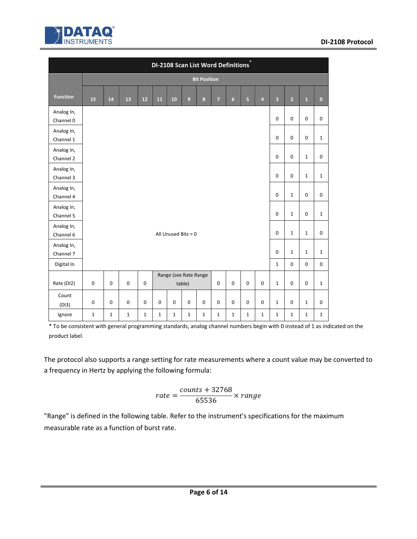

|                         |             |                                                          |              |             | DI-2108 Scan List Word Definitions |             |                                 |                     |                |                |                |                |                         |                |              |                  |
|-------------------------|-------------|----------------------------------------------------------|--------------|-------------|------------------------------------|-------------|---------------------------------|---------------------|----------------|----------------|----------------|----------------|-------------------------|----------------|--------------|------------------|
|                         |             |                                                          |              |             |                                    |             |                                 | <b>Bit Position</b> |                |                |                |                |                         |                |              |                  |
| <b>Function</b>         | 15          | 14                                                       | 13           | 12          | 11                                 | 10          | 9                               | $\bf 8$             | $\overline{7}$ | 6 <sup>1</sup> | $\overline{5}$ | $\overline{4}$ | $\overline{\mathbf{3}}$ | $\overline{2}$ | $\mathbf 1$  | $\mathbf{0}$     |
| Analog In,              |             |                                                          |              |             |                                    |             |                                 |                     |                |                |                |                |                         |                |              |                  |
| Channel 0               |             |                                                          |              |             |                                    |             |                                 |                     |                |                |                |                | $\boldsymbol{0}$        | $\mathbf 0$    | $\mathbf 0$  | $\boldsymbol{0}$ |
| Analog In,<br>Channel 1 |             |                                                          |              |             |                                    |             |                                 |                     |                |                |                |                | $\mathbf 0$             | $\mathbf 0$    | $\mathbf 0$  | $\mathbf{1}$     |
| Analog In,<br>Channel 2 |             |                                                          |              |             |                                    |             |                                 |                     |                |                |                |                | $\pmb{0}$               | $\pmb{0}$      | $\mathbf 1$  | $\mathbf 0$      |
| Analog In,<br>Channel 3 |             |                                                          |              |             |                                    |             |                                 |                     |                |                |                |                | $\mathbf 0$             | $\mathbf 0$    | $\mathbf{1}$ | $\mathbf{1}$     |
| Analog In,<br>Channel 4 |             |                                                          |              |             |                                    |             |                                 |                     |                |                |                |                | $\mathbf 0$             | $\mathbf{1}$   | $\mathbf 0$  | $\mathbf 0$      |
| Analog In,<br>Channel 5 |             | $\mathbf 0$<br>$\pmb{0}$<br>$\mathbf{1}$<br>$\mathbf{1}$ |              |             |                                    |             |                                 |                     |                |                |                |                |                         |                |              |                  |
| Analog In,<br>Channel 6 |             |                                                          |              |             |                                    |             | All Unused Bits = $0$           |                     |                |                |                |                | $\mathbf 0$             | $\mathbf 1$    | $\mathbf{1}$ | $\mathbf 0$      |
| Analog In,<br>Channel 7 |             |                                                          |              |             |                                    |             |                                 |                     |                |                |                |                | $\mathbf 0$             | $\mathbf{1}$   | $\mathbf{1}$ | $\mathbf{1}$     |
| Digital In              |             |                                                          |              |             |                                    |             |                                 |                     |                |                |                |                | $1\,$                   | $\pmb{0}$      | $\pmb{0}$    | $\pmb{0}$        |
| Rate (DI2)              | $\mathbf 0$ | $\mathbf 0$                                              | $\mathbf 0$  | $\mathbf 0$ |                                    |             | Range (see Rate Range<br>table) |                     | 0              | $\mathbf 0$    | $\mathbf 0$    | $\mathbf 0$    | $\mathbf 1$             | $\mathbf 0$    | $\mathbf 0$  | $\mathbf{1}$     |
| Count<br>(DI3)          | $\mathbf 0$ | 0                                                        | $\mathbf 0$  | $\mathbf 0$ | $\mathbf 0$                        | $\mathbf 0$ | 0                               | $\mathbf 0$         | $\mathbf 0$    | $\mathbf 0$    | $\mathbf 0$    | $\mathbf 0$    | $\mathbf{1}$            | $\mathbf 0$    | $\mathbf{1}$ | $\pmb{0}$        |
| Ignore                  | $\mathbf 1$ | $\mathbf{1}$                                             | $\mathbf{1}$ | $\mathbf 1$ | $\mathbf 1$                        | $\mathbf 1$ | $\mathbf 1$                     | $\mathbf{1}$        | 1              | $\mathbf 1$    | $\mathbf 1$    | $\mathbf 1$    | $\mathbf 1$             | $\mathbf{1}$   | $\mathbf 1$  | $\mathbf 1$      |

\* To be consistent with general programming standards, analog channel numbers begin with 0 instead of 1 as indicated on the product label.

The protocol also supports a range setting for rate measurements where a count value may be converted to a frequency in Hertz by applying the following formula:

$$
rate = \frac{counts + 32768}{65536} \times range
$$

"Range" is defined in the following table. Refer to the instrument's specifications for the maximum measurable rate as a function of burst rate.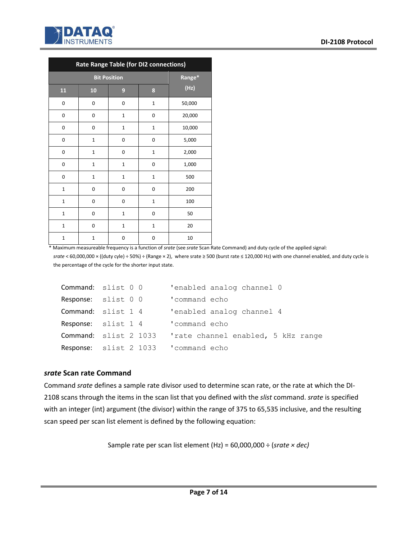

| Rate Range Table (for DI2 connections) |              |                  |              |        |  |
|----------------------------------------|--------------|------------------|--------------|--------|--|
|                                        | Range*       |                  |              |        |  |
| 11                                     | 10           | $\boldsymbol{9}$ | 8            | (Hz)   |  |
| 0                                      | 0            | 0                | $\mathbf{1}$ | 50,000 |  |
| 0                                      | 0            | $\mathbf 1$      | 0            | 20,000 |  |
| 0                                      | 0            | $\mathbf 1$      | $\mathbf{1}$ | 10,000 |  |
| 0                                      | $\mathbf 1$  | 0                | 0            | 5,000  |  |
| 0                                      | $\mathbf{1}$ | 0                | $\mathbf{1}$ | 2,000  |  |
| 0                                      | $\mathbf{1}$ | $\mathbf{1}$     | 0            | 1,000  |  |
| 0                                      | $\mathbf{1}$ | $\mathbf{1}$     | $\mathbf{1}$ | 500    |  |
| $\mathbf{1}$                           | 0            | 0                | 0            | 200    |  |
| $\mathbf{1}$                           | 0            | 0                | $\mathbf{1}$ | 100    |  |
| $\mathbf{1}$                           | 0            | $\mathbf 1$      | 0            | 50     |  |
| $\mathbf{1}$                           | 0            | $\mathbf 1$      | $\mathbf{1}$ | 20     |  |
| $\overline{1}$                         | $\mathbf{1}$ | 0                | 0            | 10     |  |

\* Maximum measureable frequency is a function of *srate* (see *srate* Scan Rate Command) and duty cycle of the applied signal:

*srate* < 60,000,000 × ((duty cyle) ÷ 50%) ÷ (Range × 2), where srate ≥ 500 (burst rate ≤ 120,000 Hz) with one channel enabled, and duty cycle is the percentage of the cycle for the shorter input state.

| Command: slist 0 0                   | 'enabled analog channel 0         |
|--------------------------------------|-----------------------------------|
| Response: slist 0 0                  | 'command echo                     |
| Command: slist 1 4                   | 'enabled analog channel 4         |
| Response: slist 1 4                  | 'command echo                     |
| <b>Command:</b> slist 2 1033         | rate channel enabled, 5 kHz range |
| Response: slist 2 1033 'command echo |                                   |

#### *srate* **Scan rate Command**

Command *srate* defines a sample rate divisor used to determine scan rate, or the rate at which the DI-2108 scans through the items in the scan list that you defined with the *slist* command. *srate* is specified with an integer (int) argument (the divisor) within the range of 375 to 65,535 inclusive, and the resulting scan speed per scan list element is defined by the following equation:

Sample rate per scan list element (Hz) = 60,000,000 ÷ (*srate × dec)*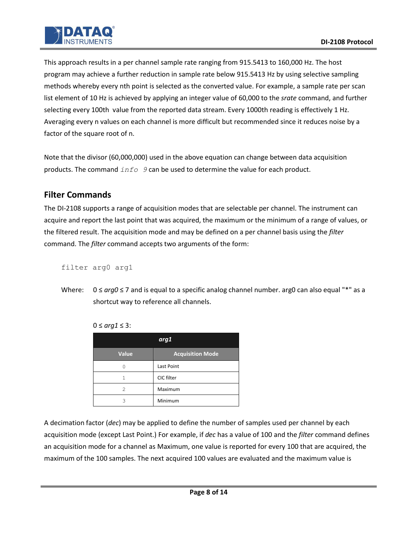This approach results in a per channel sample rate ranging from 915.5413 to 160,000 Hz. The host program may achieve a further reduction in sample rate below 915.5413 Hz by using selective sampling methods whereby every nth point is selected as the converted value. For example, a sample rate per scan list element of 10 Hz is achieved by applying an integer value of 60,000 to the *srate* command, and further selecting every 100th value from the reported data stream. Every 1000th reading is effectively 1 Hz. Averaging every n values on each channel is more difficult but recommended since it reduces noise by a factor of the square root of n.

Note that the divisor (60,000,000) used in the above equation can change between data acquisition products. The command *info 9* can be used to determine the value for each product.

# **Filter Commands**

The DI-2108 supports a range of acquisition modes that are selectable per channel. The instrument can acquire and report the last point that was acquired, the maximum or the minimum of a range of values, or the filtered result. The acquisition mode and may be defined on a per channel basis using the *filter* command. The *filter* command accepts two arguments of the form:

filter arg0 arg1

Where: 0 ≤ *arg0* ≤ 7 and is equal to a specific analog channel number. arg0 can also equal "\*" as a shortcut way to reference all channels.

| arg1         |                         |  |  |  |  |
|--------------|-------------------------|--|--|--|--|
| <b>Value</b> | <b>Acquisition Mode</b> |  |  |  |  |
|              | Last Point              |  |  |  |  |
|              | CIC filter              |  |  |  |  |
| 2            | Maximum                 |  |  |  |  |
| 3            | Minimum                 |  |  |  |  |

0 ≤ *arg1* ≤ 3:

A decimation factor (*dec*) may be applied to define the number of samples used per channel by each acquisition mode (except Last Point.) For example, if *dec* has a value of 100 and the *filter* command defines an acquisition mode for a channel as Maximum, one value is reported for every 100 that are acquired, the maximum of the 100 samples. The next acquired 100 values are evaluated and the maximum value is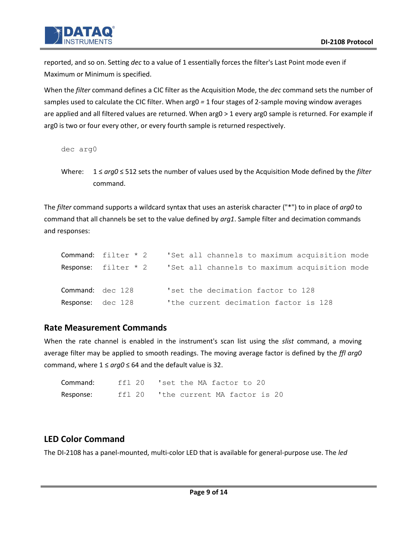

reported, and so on. Setting *dec* to a value of 1 essentially forces the filter's Last Point mode even if Maximum or Minimum is specified.

When the *filter* command defines a CIC filter as the Acquisition Mode, the *dec* command sets the number of samples used to calculate the CIC filter. When arg0 *=* 1 four stages of 2-sample moving window averages are applied and all filtered values are returned. When arg0 > 1 every arg0 sample is returned. For example if arg0 is two or four every other, or every fourth sample is returned respectively.

```
dec arg0
```
Where: 1 ≤ *arg0* ≤ 512 sets the number of values used by the Acquisition Mode defined by the *filter* command.

The *filter* command supports a wildcard syntax that uses an asterisk character ("\*") to in place of *arg0* to command that all channels be set to the value defined by *arg1*. Sample filter and decimation commands and responses:

|                          | <b>Command:</b> $filter * 2$ | 'Set all channels to maximum acquisition mode |
|--------------------------|------------------------------|-----------------------------------------------|
|                          | Response: $filter * 2$       | 'Set all channels to maximum acquisition mode |
| Command: dec 128         |                              | 'set the decimation factor to 128             |
| <b>Response:</b> dec 128 |                              | 'the current decimation factor is 128         |

## **Rate Measurement Commands**

When the rate channel is enabled in the instrument's scan list using the *slist* command, a moving average filter may be applied to smooth readings. The moving average factor is defined by the *ffl arg0* command, where  $1 \leq \arg 0 \leq 64$  and the default value is 32.

| Command:  | ffl 20 | 'set the MA factor to 20    |  |  |  |  |
|-----------|--------|-----------------------------|--|--|--|--|
| Response: | ffl 20 | the current MA factor is 20 |  |  |  |  |

# **LED Color Command**

The DI-2108 has a panel-mounted, multi-color LED that is available for general-purpose use. The *led*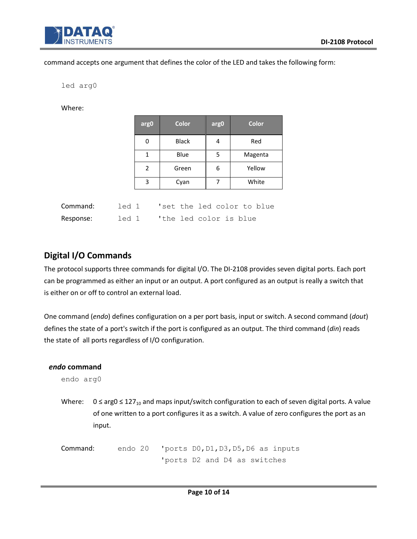

#### command accepts one argument that defines the color of the LED and takes the following form:

led arg0

Where:

|          |       | arg0         | <b>Color</b>               | arg0 | <b>Color</b> |
|----------|-------|--------------|----------------------------|------|--------------|
|          |       | 0            | <b>Black</b>               | 4    | Red          |
|          |       | $\mathbf{1}$ | Blue                       | 5    | Magenta      |
|          |       | 2            | Green                      | 6    | Yellow       |
|          |       | 3            | Cyan                       | 7    | White        |
| Command: | led 1 |              | 'set the led color to blue |      |              |

Response: led 1 'the led color is blue

| Digital I/O Commands |  |
|----------------------|--|

The protocol supports three commands for digital I/O. The DI-2108 provides seven digital ports. Each port can be programmed as either an input or an output. A port configured as an output is really a switch that is either on or off to control an external load.

One command (*endo*) defines configuration on a per port basis, input or switch. A second command (*dout*) defines the state of a port's switch if the port is configured as an output. The third command (*din*) reads the state of all ports regardless of I/O configuration.

#### *endo* **command**

endo arg0

Where:  $0 \le \arg 0 \le 127_{10}$  and maps input/switch configuration to each of seven digital ports. A value of one written to a port configures it as a switch. A value of zero configures the port as an input.

Command: endo 20 'ports D0,D1,D3,D5,D6 as inputs 'ports D2 and D4 as switches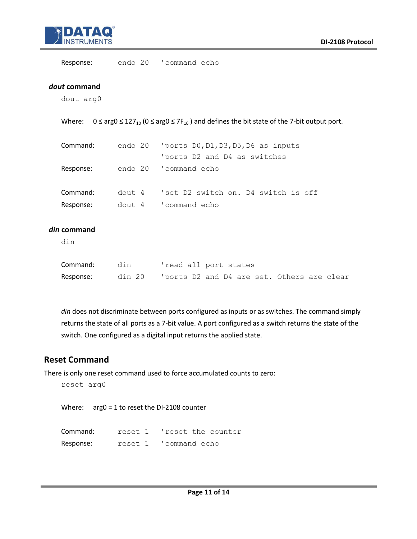

Response: endo 20 'command echo

#### *dout* **command**

dout arg0

Where:  $0 \le \arg 0 \le 127_{10}$  ( $0 \le \arg 0 \le 7F_{16}$ ) and defines the bit state of the 7-bit output port.

| Command:  | endo 20 $'$ ports DO, D1, D3, D5, D6 as inputs |
|-----------|------------------------------------------------|
|           | 'ports D2 and D4 as switches                   |
| Response: | endo 20 'command echo                          |
| Command:  | dout 4 'set D2 switch on. D4 switch is off     |
| Response: | dout 4 'command echo                           |

#### *din* **command**

din

| Command:  | din | 'read all port states                             |
|-----------|-----|---------------------------------------------------|
| Response: |     | din 20 Toorts D2 and D4 are set. Others are clear |

*din* does not discriminate between ports configured as inputs or as switches. The command simply returns the state of all ports as a 7-bit value. A port configured as a switch returns the state of the switch. One configured as a digital input returns the applied state.

### **Reset Command**

There is only one reset command used to force accumulated counts to zero:

```
reset arg0
```
Where: arg0 = 1 to reset the DI-2108 counter

| Command:  | reset 1 | 'reset the counter    |
|-----------|---------|-----------------------|
| Response: |         | reset 1 'command echo |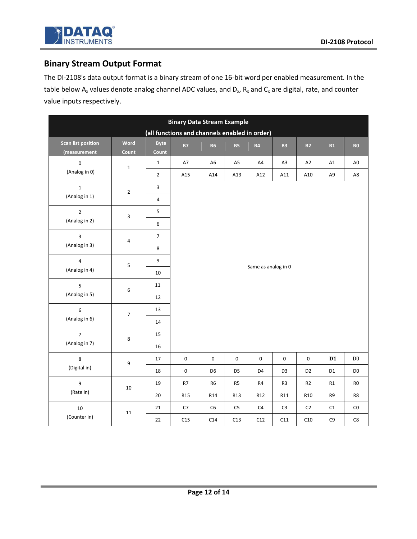

# **Binary Stream Output Format**

The DI-2108's data output format is a binary stream of one 16-bit word per enabled measurement. In the table below A<sub>x</sub> values denote analog channel ADC values, and D<sub>x</sub>, R<sub>x</sub> and C<sub>x</sub> are digital, rate, and counter value inputs respectively.

| <b>Binary Data Stream Example</b> |                         |                  |                                               |                     |                |                |                |                 |                 |                     |  |  |  |  |  |
|-----------------------------------|-------------------------|------------------|-----------------------------------------------|---------------------|----------------|----------------|----------------|-----------------|-----------------|---------------------|--|--|--|--|--|
|                                   |                         |                  | (all functions and channels enabled in order) |                     |                |                |                |                 |                 |                     |  |  |  |  |  |
| <b>Scan list position</b>         | Word                    | <b>Byte</b>      | <b>B7</b>                                     | <b>B6</b>           | <b>B5</b>      | <b>B4</b>      | <b>B3</b>      | <b>B2</b>       | B1              | ${\bf B0}$          |  |  |  |  |  |
| (measurement                      | Count                   | Count            |                                               |                     |                |                |                |                 |                 |                     |  |  |  |  |  |
| $\mathbf 0$                       | $\mathbf 1$             | $\mathbf{1}$     | A7                                            | A <sub>6</sub>      | A <sub>5</sub> | A4             | A <sub>3</sub> | A2              | A1              | A <sub>0</sub>      |  |  |  |  |  |
| (Analog in 0)                     |                         | $\overline{2}$   | A15                                           | A14                 | A13            | A12            | A11            | A10             | A9              | A8                  |  |  |  |  |  |
| $\mathbf{1}$                      | $\overline{2}$          | 3                |                                               |                     |                |                |                |                 |                 |                     |  |  |  |  |  |
| (Analog in 1)                     |                         | $\overline{4}$   |                                               |                     |                |                |                |                 |                 |                     |  |  |  |  |  |
| $\overline{2}$                    | 3                       | 5                |                                               |                     |                |                |                |                 |                 |                     |  |  |  |  |  |
| (Analog in 2)                     |                         | $\boldsymbol{6}$ |                                               |                     |                |                |                |                 |                 |                     |  |  |  |  |  |
| 3                                 |                         | $\overline{7}$   |                                               |                     |                |                |                |                 |                 |                     |  |  |  |  |  |
| (Analog in 3)                     | 4                       | $\bf 8$          |                                               | Same as analog in 0 |                |                |                |                 |                 |                     |  |  |  |  |  |
| $\overline{4}$                    | 5                       | $\boldsymbol{9}$ |                                               |                     |                |                |                |                 |                 |                     |  |  |  |  |  |
| (Analog in 4)                     |                         | $10\,$           |                                               |                     |                |                |                |                 |                 |                     |  |  |  |  |  |
| 5                                 | 6                       | 11               |                                               |                     |                |                |                |                 |                 |                     |  |  |  |  |  |
| (Analog in 5)                     |                         | 12               |                                               |                     |                |                |                |                 |                 |                     |  |  |  |  |  |
| 6                                 | $\overline{\mathbf{7}}$ | 13               |                                               |                     |                |                |                |                 |                 |                     |  |  |  |  |  |
| (Analog in 6)                     |                         | $14\,$           |                                               |                     |                |                |                |                 |                 |                     |  |  |  |  |  |
| $\overline{7}$                    |                         | 15               |                                               |                     |                |                |                |                 |                 |                     |  |  |  |  |  |
| (Analog in 7)                     | 8                       | 16               |                                               |                     |                |                |                |                 |                 |                     |  |  |  |  |  |
| 8                                 |                         | $17\,$           | $\pmb{0}$                                     | $\pmb{0}$           | $\pmb{0}$      | $\pmb{0}$      | $\pmb{0}$      | $\pmb{0}$       | $\overline{D1}$ | $\overline{\rm D0}$ |  |  |  |  |  |
| (Digital in)                      | 9                       | 18               | $\pmb{0}$                                     | D <sub>6</sub>      | D <sub>5</sub> | D4             | D <sub>3</sub> | D <sub>2</sub>  | D1              | D <sub>0</sub>      |  |  |  |  |  |
| 9                                 |                         | 19               | R7                                            | R <sub>6</sub>      | R <sub>5</sub> | R4             | R <sub>3</sub> | R2              | R1              | ${\sf R0}$          |  |  |  |  |  |
| (Rate in)                         | $10\,$                  | 20               | R <sub>15</sub>                               | R14                 | R13            | R12            | R11            | R <sub>10</sub> | R9              | R8                  |  |  |  |  |  |
| 10                                |                         | 21               | C7                                            | C <sub>6</sub>      | C <sub>5</sub> | C <sub>4</sub> | C <sub>3</sub> | C <sub>2</sub>  | C1              | CO                  |  |  |  |  |  |
| (Counter in)                      | $11\,$                  | 22               | C15                                           | C14                 | C13            | C12            | C11            | C10             | C9              | ${\sf C}8$          |  |  |  |  |  |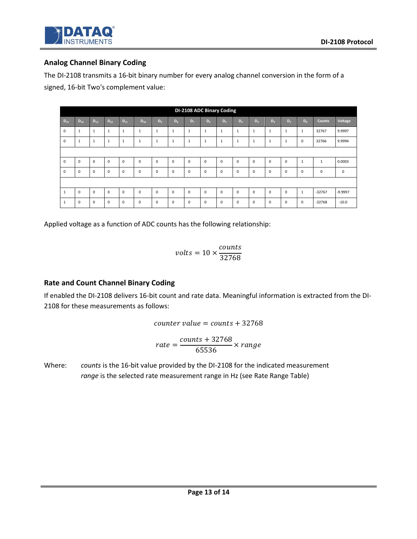### **Analog Channel Binary Coding**

The DI-2108 transmits a 16-bit binary number for every analog channel conversion in the form of a signed, 16-bit Two's complement value:

|             | DI-2108 ADC Binary Coding |              |              |              |              |                |                |                |              |              |              |              |                |          |              |               |             |
|-------------|---------------------------|--------------|--------------|--------------|--------------|----------------|----------------|----------------|--------------|--------------|--------------|--------------|----------------|----------|--------------|---------------|-------------|
| $D_{15}$    | $D_{14}$                  | $D_{13}$     | $D_{12}$     | $D_{11}$     | $D_{10}$     | D <sub>q</sub> | $D_{\rm R}$    | D <sub>7</sub> | $D_6$        | $D_5$        | $D_4$        | $D_3$        | D <sub>2</sub> | $D_1$    | $D_0$        | <b>Counts</b> | Voltage     |
| $\mathbf 0$ | 1                         | $\mathbf{1}$ | $\mathbf{1}$ | $\mathbf{1}$ | $\mathbf{1}$ | $\mathbf{1}$   | $\mathbf{1}$   | $\mathbf{1}$   | $\mathbf{1}$ | $\mathbf{1}$ | $\mathbf{1}$ | $\mathbf{1}$ | $\mathbf{1}$   | 1        | 1            | 32767         | 9.9997      |
| $\Omega$    | $\mathbf{1}$              | $\mathbf{1}$ | $\mathbf{1}$ | 1            | $\mathbf{1}$ | $\mathbf{1}$   | $\mathbf{1}$   | $\mathbf{1}$   | $\mathbf{1}$ | $\mathbf{1}$ | $\mathbf{1}$ | $\mathbf{1}$ | 1              | 1        | $\Omega$     | 32766         | 9.9994      |
|             |                           |              |              |              |              |                |                |                |              |              |              |              |                |          |              |               |             |
| $\mathbf 0$ | $\mathbf 0$               | $\mathbf 0$  | $\mathbf 0$  | $\mathbf 0$  | $\mathbf 0$  | $\mathbf 0$    | $\overline{0}$ | $\mathbf 0$    | $\mathbf 0$  | $\mathbf 0$  | $\mathbf 0$  | $\Omega$     | $\mathbf 0$    | $\Omega$ | $\mathbf{1}$ | $\mathbf{1}$  | 0.0003      |
| $\Omega$    | $\Omega$                  | $\mathbf 0$  | $\mathbf 0$  | $\mathbf 0$  | $\mathbf 0$  | $\mathbf 0$    | $\mathbf 0$    | $\mathbf 0$    | $\mathbf 0$  | $\mathbf 0$  | $\mathbf 0$  | $\Omega$     | 0              | $\Omega$ | $\Omega$     | $\mathbf 0$   | $\mathbf 0$ |
|             |                           |              |              |              |              |                |                |                |              |              |              |              |                |          |              |               |             |
| 1           | $\Omega$                  | $\Omega$     | $\mathbf 0$  | $\mathbf 0$  | $\mathbf 0$  | $\mathbf 0$    | $\mathbf 0$    | $\mathbf 0$    | $\mathbf 0$  | $\mathbf 0$  | $\mathbf 0$  | $\Omega$     | $\Omega$       | $\Omega$ | $\mathbf{1}$ | $-32767$      | -9.9997     |
| 1           | $\Omega$                  | $\mathbf 0$  | $\mathbf 0$  | $\mathbf 0$  | $\mathbf 0$  | $\mathbf 0$    | $\mathbf 0$    | $\mathbf 0$    | $\Omega$     | $\mathbf 0$  | $\mathbf 0$  | $\Omega$     | $\Omega$       | $\Omega$ | $\Omega$     | $-32768$      | $-10.0$     |

Applied voltage as a function of ADC counts has the following relationship:

$$
volts = 10 \times \frac{counts}{32768}
$$

### **Rate and Count Channel Binary Coding**

If enabled the DI-2108 delivers 16-bit count and rate data. Meaningful information is extracted from the DI-2108 for these measurements as follows:

$$
counter\ value = counts + 32768
$$

$$
rate = \frac{counts + 32768}{65536} \times range
$$

Where: *counts* is the 16-bit value provided by the DI-2108 for the indicated measurement *range* is the selected rate measurement range in Hz (see Rate Range Table)